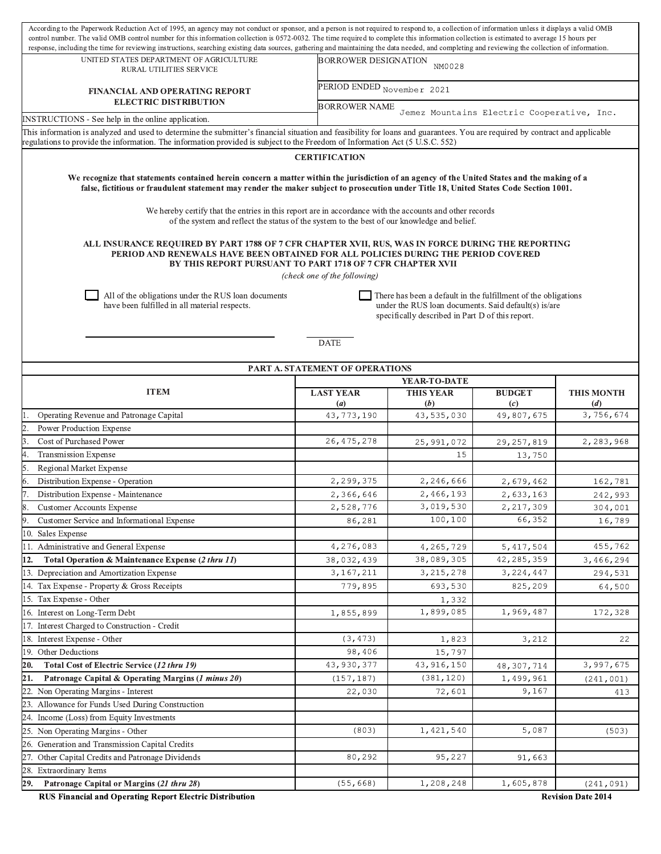| According to the Paperwork Reduction Act of 1995, an agency may not conduct or sponsor, and a person is not required to respond to, a collection of information unless it displays a valid OMB<br>control number. The valid OMB control number for this information collection is 0572-0032. The time required to complete this information collection is estimated to average 15 hours per |                                 |                                                                                                                                                                                                  |                                 |                   |  |  |  |  |  |  |
|---------------------------------------------------------------------------------------------------------------------------------------------------------------------------------------------------------------------------------------------------------------------------------------------------------------------------------------------------------------------------------------------|---------------------------------|--------------------------------------------------------------------------------------------------------------------------------------------------------------------------------------------------|---------------------------------|-------------------|--|--|--|--|--|--|
| UNITED STATES DEPARTMENT OF AGRICULTURE                                                                                                                                                                                                                                                                                                                                                     |                                 | response, including the time for reviewing instructions, searching existing data sources, gathering and maintaining the data needed, and completing and reviewing the collection of information. |                                 |                   |  |  |  |  |  |  |
| RURAL UTILITIES SERVICE                                                                                                                                                                                                                                                                                                                                                                     |                                 | <b>BORROWER DESIGNATION</b><br>NM0028                                                                                                                                                            |                                 |                   |  |  |  |  |  |  |
| <b>FINANCIAL AND OPERATING REPORT</b><br><b>ELECTRIC DISTRIBUTION</b>                                                                                                                                                                                                                                                                                                                       |                                 | PERIOD ENDED November 2021                                                                                                                                                                       |                                 |                   |  |  |  |  |  |  |
|                                                                                                                                                                                                                                                                                                                                                                                             |                                 | <b>BORROWER NAME</b><br>Jemez Mountains Electric Cooperative, Inc.                                                                                                                               |                                 |                   |  |  |  |  |  |  |
| INSTRUCTIONS - See help in the online application.<br>This information is analyzed and used to determine the submitter's financial situation and feasibility for loans and guarantees. You are required by contract and applicable                                                                                                                                                          |                                 |                                                                                                                                                                                                  |                                 |                   |  |  |  |  |  |  |
| regulations to provide the information. The information provided is subject to the Freedom of Information Act (5 U.S.C. 552)                                                                                                                                                                                                                                                                |                                 |                                                                                                                                                                                                  |                                 |                   |  |  |  |  |  |  |
| <b>CERTIFICATION</b>                                                                                                                                                                                                                                                                                                                                                                        |                                 |                                                                                                                                                                                                  |                                 |                   |  |  |  |  |  |  |
| We recognize that statements contained herein concern a matter within the jurisdiction of an agency of the United States and the making of a<br>false, fictitious or fraudulent statement may render the maker subject to prosecution under Title 18, United States Code Section 1001.                                                                                                      |                                 |                                                                                                                                                                                                  |                                 |                   |  |  |  |  |  |  |
| We hereby certify that the entries in this report are in accordance with the accounts and other records<br>of the system and reflect the status of the system to the best of our knowledge and belief.                                                                                                                                                                                      |                                 |                                                                                                                                                                                                  |                                 |                   |  |  |  |  |  |  |
| ALL INSURANCE REQUIRED BY PART 1788 OF 7 CFR CHAPTER XVII, RUS, WAS IN FORCE DURING THE REPORTING<br>PERIOD AND RENEWALS HAVE BEEN OBTAINED FOR ALL POLICIES DURING THE PERIOD COVERED<br>BY THIS REPORT PURSUANT TO PART 1718 OF 7 CFR CHAPTER XVII<br>(check one of the following)                                                                                                        |                                 |                                                                                                                                                                                                  |                                 |                   |  |  |  |  |  |  |
| All of the obligations under the RUS loan documents<br>There has been a default in the fulfillment of the obligations<br>have been fulfilled in all material respects.<br>under the RUS loan documents. Said default(s) is/are<br>specifically described in Part D of this report.                                                                                                          |                                 |                                                                                                                                                                                                  |                                 |                   |  |  |  |  |  |  |
|                                                                                                                                                                                                                                                                                                                                                                                             | <b>DATE</b>                     |                                                                                                                                                                                                  |                                 |                   |  |  |  |  |  |  |
|                                                                                                                                                                                                                                                                                                                                                                                             | PART A. STATEMENT OF OPERATIONS |                                                                                                                                                                                                  |                                 |                   |  |  |  |  |  |  |
|                                                                                                                                                                                                                                                                                                                                                                                             |                                 | YEAR-TO-DATE                                                                                                                                                                                     |                                 |                   |  |  |  |  |  |  |
| <b>ITEM</b>                                                                                                                                                                                                                                                                                                                                                                                 | <b>LAST YEAR</b>                | <b>THIS YEAR</b>                                                                                                                                                                                 | <b>BUDGET</b>                   | <b>THIS MONTH</b> |  |  |  |  |  |  |
| Operating Revenue and Patronage Capital                                                                                                                                                                                                                                                                                                                                                     | (a)<br>43,773,190               | (b)<br>43,535,030                                                                                                                                                                                | $\left( c\right)$<br>49,807,675 | (d)<br>3,756,674  |  |  |  |  |  |  |
| Power Production Expense                                                                                                                                                                                                                                                                                                                                                                    |                                 |                                                                                                                                                                                                  |                                 |                   |  |  |  |  |  |  |
| Cost of Purchased Power                                                                                                                                                                                                                                                                                                                                                                     | 26, 475, 278                    | 25,991,072                                                                                                                                                                                       | 29, 257, 819                    | 2,283,968         |  |  |  |  |  |  |
| <b>Transmission Expense</b>                                                                                                                                                                                                                                                                                                                                                                 |                                 | 15                                                                                                                                                                                               | 13,750                          |                   |  |  |  |  |  |  |
| Regional Market Expense                                                                                                                                                                                                                                                                                                                                                                     |                                 |                                                                                                                                                                                                  |                                 |                   |  |  |  |  |  |  |
| Distribution Expense - Operation                                                                                                                                                                                                                                                                                                                                                            | 2,299,375                       | 2,246,666                                                                                                                                                                                        | 2,679,462                       | 162,781           |  |  |  |  |  |  |
| Distribution Expense - Maintenance                                                                                                                                                                                                                                                                                                                                                          | 2,366,646                       | 2,466,193                                                                                                                                                                                        | 2,633,163                       | 242,993           |  |  |  |  |  |  |
| <b>Customer Accounts Expense</b>                                                                                                                                                                                                                                                                                                                                                            | 2,528,776                       | 3,019,530                                                                                                                                                                                        | 2, 217, 309                     | 304,001           |  |  |  |  |  |  |
| Customer Service and Informational Expense                                                                                                                                                                                                                                                                                                                                                  | 86,281                          | 100,100                                                                                                                                                                                          | 66,352                          | 16,789            |  |  |  |  |  |  |
| 10. Sales Expense                                                                                                                                                                                                                                                                                                                                                                           |                                 |                                                                                                                                                                                                  |                                 |                   |  |  |  |  |  |  |
| 11. Administrative and General Expense                                                                                                                                                                                                                                                                                                                                                      | 4,276,083                       | 4,265,729                                                                                                                                                                                        | 5, 417, 504                     | 455,762           |  |  |  |  |  |  |
| Total Operation & Maintenance Expense (2 thru 11)<br>12.                                                                                                                                                                                                                                                                                                                                    | 38,032,439                      | 38,089,305                                                                                                                                                                                       | 42,285,359                      | 3,466,294         |  |  |  |  |  |  |
| 13. Depreciation and Amortization Expense                                                                                                                                                                                                                                                                                                                                                   | 3,167,211                       | 3, 215, 278                                                                                                                                                                                      | 3,224,447                       | 294,531           |  |  |  |  |  |  |
| 14. Tax Expense - Property & Gross Receipts                                                                                                                                                                                                                                                                                                                                                 | 779,895                         | 693,530                                                                                                                                                                                          | 825,209                         | 64,500            |  |  |  |  |  |  |
| 15. Tax Expense - Other                                                                                                                                                                                                                                                                                                                                                                     |                                 | 1,332                                                                                                                                                                                            |                                 |                   |  |  |  |  |  |  |
| 16. Interest on Long-Term Debt                                                                                                                                                                                                                                                                                                                                                              | 1,855,899                       | 1,899,085                                                                                                                                                                                        | 1,969,487                       | 172,328           |  |  |  |  |  |  |
| 17. Interest Charged to Construction - Credit                                                                                                                                                                                                                                                                                                                                               |                                 |                                                                                                                                                                                                  |                                 |                   |  |  |  |  |  |  |
| 18. Interest Expense - Other                                                                                                                                                                                                                                                                                                                                                                | (3, 473)                        | 1,823                                                                                                                                                                                            | 3,212                           | 22                |  |  |  |  |  |  |
| 19. Other Deductions                                                                                                                                                                                                                                                                                                                                                                        | 98,406                          | 15,797                                                                                                                                                                                           |                                 |                   |  |  |  |  |  |  |
| Total Cost of Electric Service (12 thru 19)<br>20.                                                                                                                                                                                                                                                                                                                                          | 43,930,377                      | 43, 916, 150                                                                                                                                                                                     | 48,307,714                      | 3,997,675         |  |  |  |  |  |  |
| Patronage Capital & Operating Margins (1 minus 20)<br>21.                                                                                                                                                                                                                                                                                                                                   | (157, 187)                      | (381, 120)                                                                                                                                                                                       | 1,499,961                       | (241, 001)        |  |  |  |  |  |  |
| 22. Non Operating Margins - Interest                                                                                                                                                                                                                                                                                                                                                        | 22,030                          | 72,601                                                                                                                                                                                           | 9,167                           | 413               |  |  |  |  |  |  |
| 23. Allowance for Funds Used During Construction                                                                                                                                                                                                                                                                                                                                            |                                 |                                                                                                                                                                                                  |                                 |                   |  |  |  |  |  |  |
| 24. Income (Loss) from Equity Investments                                                                                                                                                                                                                                                                                                                                                   |                                 |                                                                                                                                                                                                  |                                 |                   |  |  |  |  |  |  |
| 25. Non Operating Margins - Other                                                                                                                                                                                                                                                                                                                                                           | (803)                           | 1,421,540                                                                                                                                                                                        | 5,087                           | (503)             |  |  |  |  |  |  |
| 26. Generation and Transmission Capital Credits                                                                                                                                                                                                                                                                                                                                             |                                 |                                                                                                                                                                                                  |                                 |                   |  |  |  |  |  |  |
| 27. Other Capital Credits and Patronage Dividends                                                                                                                                                                                                                                                                                                                                           | 80,292                          | 95,227                                                                                                                                                                                           | 91,663                          |                   |  |  |  |  |  |  |
| 28. Extraordinary Items                                                                                                                                                                                                                                                                                                                                                                     |                                 |                                                                                                                                                                                                  |                                 |                   |  |  |  |  |  |  |
| Patronage Capital or Margins (21 thru 28)<br>29.                                                                                                                                                                                                                                                                                                                                            | (55, 668)                       | 1,208,248                                                                                                                                                                                        | 1,605,878                       | (241, 091)        |  |  |  |  |  |  |
| RUS Financial and Operating Report Electric Distribution<br><b>Revision Date 2014</b>                                                                                                                                                                                                                                                                                                       |                                 |                                                                                                                                                                                                  |                                 |                   |  |  |  |  |  |  |